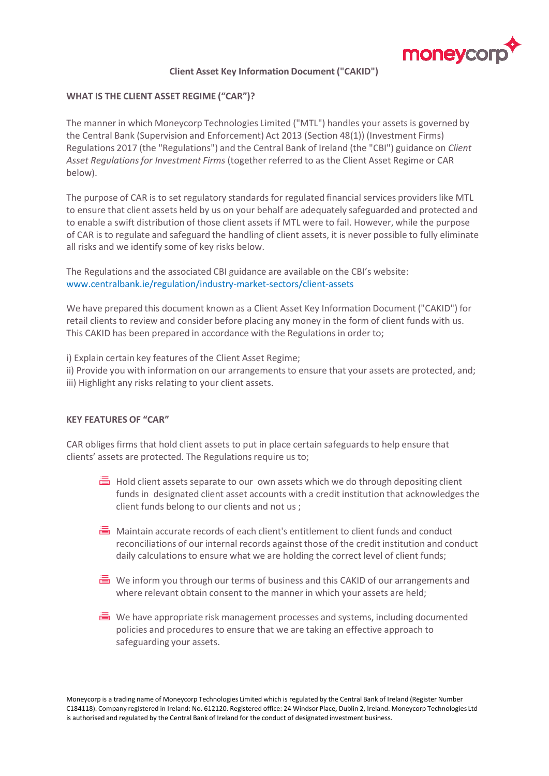

# **Client Asset Key Information Document ("CAKID")**

# **WHAT IS THE CLIENT ASSET REGIME ("CAR")?**

The manner in which Moneycorp Technologies Limited ("MTL") handles your assets is governed by the Central Bank (Supervision and Enforcement) Act 2013 (Section 48(1)) (Investment Firms) Regulations 2017 (the "Regulations") and the Central Bank of Ireland (the "CBI") guidance on *Client Asset Regulations for Investment Firms* (together referred to as the Client Asset Regime or CAR below).

The purpose of CAR is to set regulatory standards for regulated financial services providers like MTL to ensure that client assets held by us on your behalf are adequately safeguarded and protected and to enable a swift distribution of those client assets if MTL were to fail. However, while the purpose of CAR is to regulate and safeguard the handling of client assets, it is never possible to fully eliminate all risks and we identify some of key risks below.

The Regulations and the associated CBI guidance are available on the CBI's website: www.centralbank.ie/regulation/industry-market-sectors/client-assets

We have prepared this document known as a Client Asset Key Information Document ("CAKID") for retail clients to review and consider before placing any money in the form of client funds with us. This CAKID has been prepared in accordance with the Regulations in order to;

i) Explain certain key features of the Client Asset Regime;

ii) Provide you with information on our arrangements to ensure that your assets are protected, and; iii) Highlight any risks relating to your client assets.

## **KEY FEATURES OF "CAR"**

CAR obliges firms that hold client assets to put in place certain safeguards to help ensure that clients' assets are protected. The Regulations require us to;

- $\overline{\equiv}$  Hold client assets separate to our own assets which we do through depositing client funds in designated client asset accounts with a credit institution that acknowledges the client funds belong to our clients and not us ;
- **■** Maintain accurate records of each client's entitlement to client funds and conduct reconciliations of our internal records against those of the credit institution and conduct daily calculations to ensure what we are holding the correct level of client funds;
- $\equiv$  We inform you through our terms of business and this CAKID of our arrangements and where relevant obtain consent to the manner in which your assets are held;
- $\equiv$  We have appropriate risk management processes and systems, including documented policies and procedures to ensure that we are taking an effective approach to safeguarding your assets.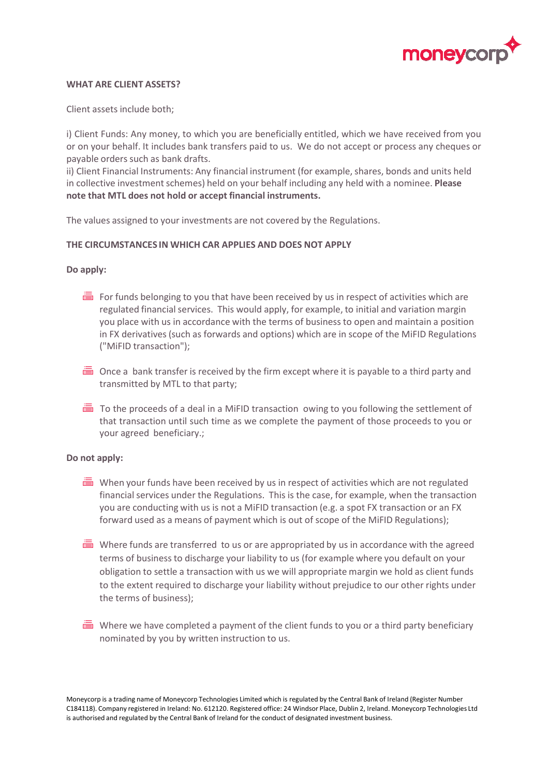

#### **WHAT ARE CLIENT ASSETS?**

Client assets include both;

i) Client Funds: Any money, to which you are beneficially entitled, which we have received from you or on your behalf. It includes bank transfers paid to us. We do not accept or process any cheques or payable orders such as bank drafts.

ii) Client Financial Instruments: Any financial instrument (for example, shares, bonds and units held in collective investment schemes) held on your behalf including any held with a nominee. **Please note that MTL does not hold or accept financial instruments.**

The values assigned to your investments are not covered by the Regulations.

### **THE CIRCUMSTANCES IN WHICH CAR APPLIES AND DOES NOT APPLY**

### **Do apply:**

- $\equiv$  For funds belonging to you that have been received by us in respect of activities which are regulated financial services. This would apply, for example, to initial and variation margin you place with us in accordance with the terms of business to open and maintain a position in FX derivatives (such as forwards and options) which are in scope of the MiFID Regulations ("MiFID transaction");
- $\equiv$  Once a bank transfer is received by the firm except where it is payable to a third party and transmitted by MTL to that party;
- $\overline{\equiv}$  To the proceeds of a deal in a MiFID transaction owing to you following the settlement of that transaction until such time as we complete the payment of those proceeds to you or your agreed beneficiary.;

#### **Do not apply:**

- $\equiv$  When your funds have been received by us in respect of activities which are not regulated financial services under the Regulations. This is the case, for example, when the transaction you are conducting with us is not a MiFID transaction (e.g. a spot FX transaction or an FX forward used as a means of payment which is out of scope of the MiFID Regulations);
- Where funds are transferred to us or are appropriated by us in accordance with the agreed terms of business to discharge your liability to us (for example where you default on your obligation to settle a transaction with us we will appropriate margin we hold as client funds to the extent required to discharge your liability without prejudice to our other rights under the terms of business);
- $\equiv$  Where we have completed a payment of the client funds to you or a third party beneficiary nominated by you by written instruction to us.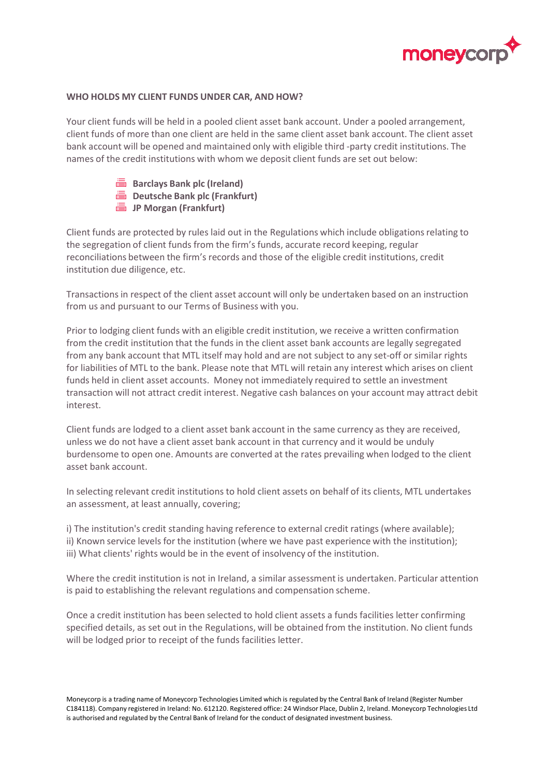

### **WHO HOLDS MY CLIENT FUNDS UNDER CAR, AND HOW?**

Your client funds will be held in a pooled client asset bank account. Under a pooled arrangement, client funds of more than one client are held in the same client asset bank account. The client asset bank account will be opened and maintained only with eligible third -party credit institutions. The names of the credit institutions with whom we deposit client funds are set out below:

> **Barclays Bank plc (Ireland) Deutsche Bank plc (Frankfurt) JP Morgan (Frankfurt)**

Client funds are protected by rules laid out in the Regulations which include obligations relating to the segregation of client funds from the firm's funds, accurate record keeping, regular reconciliations between the firm's records and those of the eligible credit institutions, credit institution due diligence, etc.

Transactions in respect of the client asset account will only be undertaken based on an instruction from us and pursuant to our Terms of Business with you.

Prior to lodging client funds with an eligible credit institution, we receive a written confirmation from the credit institution that the funds in the client asset bank accounts are legally segregated from any bank account that MTL itself may hold and are not subject to any set-off or similar rights for liabilities of MTL to the bank. Please note that MTL will retain any interest which arises on client funds held in client asset accounts. Money not immediately required to settle an investment transaction will not attract credit interest. Negative cash balances on your account may attract debit interest.

Client funds are lodged to a client asset bank account in the same currency as they are received, unless we do not have a client asset bank account in that currency and it would be unduly burdensome to open one. Amounts are converted at the rates prevailing when lodged to the client asset bank account.

In selecting relevant credit institutions to hold client assets on behalf of its clients, MTL undertakes an assessment, at least annually, covering;

i) The institution's credit standing having reference to external credit ratings (where available);

ii) Known service levels for the institution (where we have past experience with the institution); iii) What clients' rights would be in the event of insolvency of the institution.

Where the credit institution is not in Ireland, a similar assessment is undertaken. Particular attention is paid to establishing the relevant regulations and compensation scheme.

Once a credit institution has been selected to hold client assets a funds facilities letter confirming specified details, as set out in the Regulations, will be obtained from the institution. No client funds will be lodged prior to receipt of the funds facilities letter.